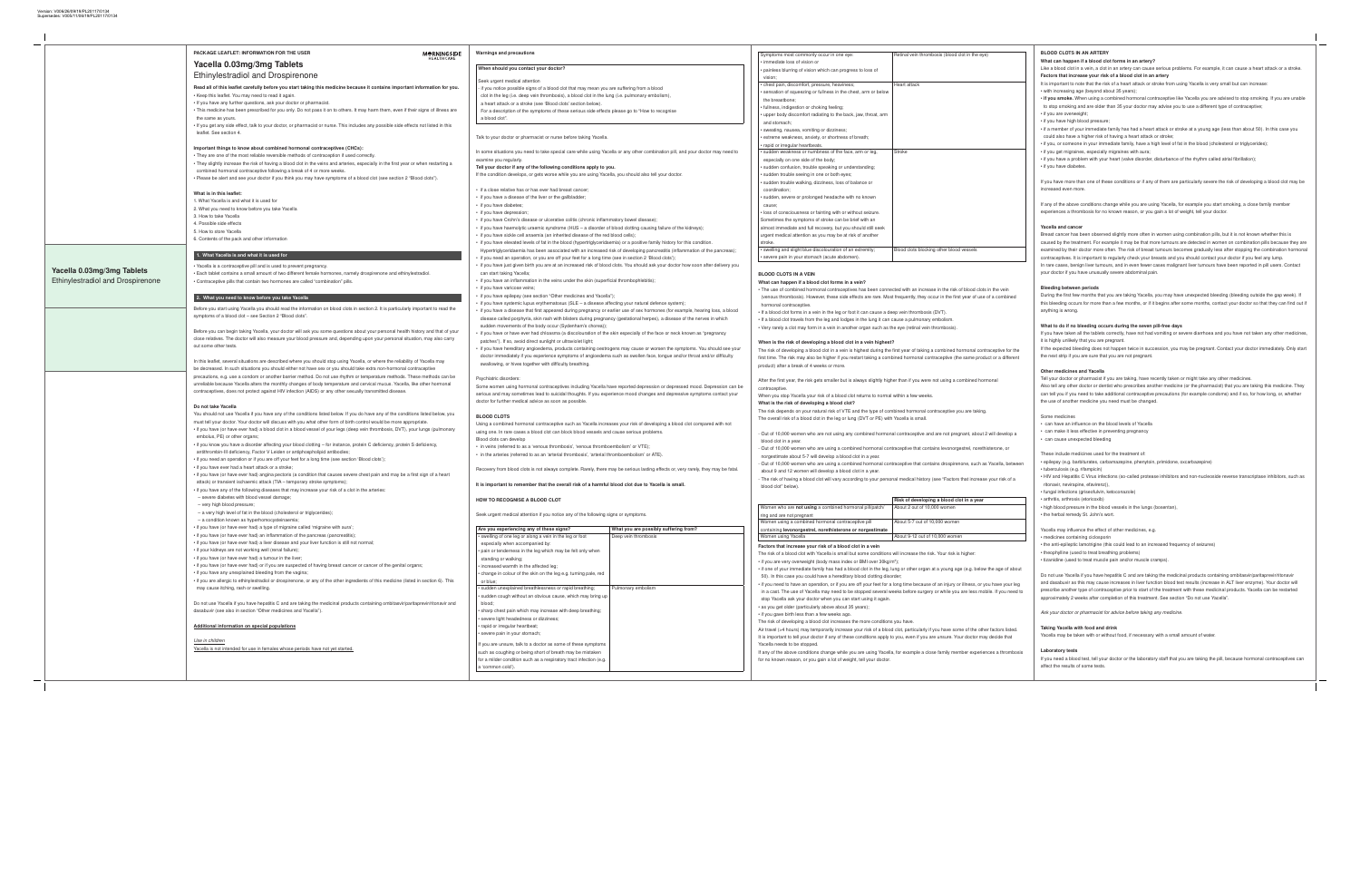| Are you experiencing any of these signs?                           | What you are possibly suffering from? |
|--------------------------------------------------------------------|---------------------------------------|
| • swelling of one leg or along a vein in the leg or foot           | Deep vein thrombosis                  |
| especially when accompanied by:                                    |                                       |
| • pain or tenderness in the leg which may be felt only when        |                                       |
| standing or walking;                                               |                                       |
| • increased warmth in the affected leg;                            |                                       |
| • change in colour of the skin on the leg e.g. turning pale, red   |                                       |
| or blue;                                                           |                                       |
| · sudden unexplained breathlessness or rapid breathing;            | Pulmonary embolism                    |
| • sudden cough without an obvious cause, which may bring up        |                                       |
| blood:                                                             |                                       |
| • sharp chest pain which may increase with deep breathing;         |                                       |
| • severe light headedness or dizziness;                            |                                       |
| • rapid or irregular heartbeat;                                    |                                       |
| • severe pain in your stomach;                                     |                                       |
| If you are unsure, talk to a doctor as some of these symptoms      |                                       |
| such as coughing or being short of breath may be mistaken          |                                       |
| for a milder condition such as a respiratory tract infection (e.g. |                                       |
| a 'common cold').                                                  |                                       |

# Warnings and precautions

# When should you contact your doctor?

# Seek urgent medical attention

- if you notice possible signs of a blood clot that may mean you are suffering from a blood
- clot in the leg (i.e. deep vein thrombosis), a blood clot in the lung (i.e. pulmonary embolism),
- a heart attack or a stroke (see 'Blood clots' section below).

For a description of the symptoms of these serious side effects please go to "How to recognise a blood clot".

Talk to your doctor or pharmacist or nurse before taking Yacella.

In some situations you need to take special care while using Yacella or any other combination pill, and your doctor may need to examine you regularly.

> • The use of combined hormonal contraceptives has been connected with an increase in (venous thrombosis). However, these side effects are rare. Most frequently, they occur hormonal contraceptive.

> • If a blood clot forms in a vein in the leg or foot it can cause a deep vein thrombosis (D) • If a blood clot travels from the leg and lodges in the lung it can cause a pulmonary eml

> • Very rarely a clot may form in a vein in another organ such as the eye (retinal vein thro

Tell your doctor if any of the following conditions apply to you. If the condition develops, or gets worse while you are using Yacella, you should also tell your doctor.

• if a close relative has or has ever had breast cancer;

The risk of developing a blood clot in a vein is highest during the first year of taking a contract first time. The risk may also be higher if you restart taking a combined hormonal contrac product) after a break of 4 weeks or more.

After the first year, the risk gets smaller but is always slightly higher than if you were not contraceptive.

The risk depends on your natural risk of VTE and the type of combined hormonal contra The overall risk of a blood clot in the leg or lung (DVT or PE) with Yacella is small.

- Out of 10,000 women who are not using any combined hormonal contraceptive and are blood clot in a year.

- Out of 10,000 women who are using a combined hormonal contraceptive that contains norgestimate about 5-7 will develop a blood clot in a year.

- Out of 10,000 women who are using a combined hormonal contraceptive that contains about 9 and 12 women will develop a blood clot in a year.

- The risk of having a blood clot will vary according to your personal medical history (see blood clot" below).

Factors that increase your risk of a blood clot in a vein The risk of a blood clot with Yacella is small but some conditions will increase the risk. Y

• if you are very overweight (body mass index or BMI over 30kg/m<sup>2</sup>); • if one of your immediate family has had a blood clot in the leg, lung or other organ at a

- if you have a disease of the liver or the gallbladder; • if you have diabetes;
- if you have depression;
- if you have Crohn's disease or ulcerative colitis (chronic inflammatory bowel disease);
- if you have haemolytic uraemic syndrome (HUS a disorder of blood clotting causing failure of the kidneys);
- if you have sickle cell anaemia (an inherited disease of the red blood cells);
- if you have elevated levels of fat in the blood (hypertriglyceridaemia) or a positive family history for this condition. Hypertriglyceridaemia has been associated with an increased risk of developing pancreatitis (inflammation of the pancreas);
- if you need an operation, or you are off your feet for a long time (see in section 2 'Blood clots'); • if you have just given birth you are at an increased risk of blood clots. You should ask your doctor how soon after delivery you
- can start taking Yacella; • if you have an inflammation in the veins under the skin (superficial thrombophlebitis);
- if you have varicose veins;
- if you have epilepsy (see section "Other medicines and Yacella");
- if you have systemic lupus erythematosus (SLE a disease affecting your natural defence system);
- if you have a disease that first appeared during pregnancy or earlier use of sex hormones (for example, hearing loss, a blood disease called porphyria, skin rash with blisters during pregnancy (gestational herpes), a disease of the nerves in which sudden movements of the body occur (Sydenham's chorea));
- if you have or have ever had chloasma (a discolouration of the skin especially of the face or neck known as "pregnancy patches"). If so, avoid direct sunlight or ultraviolet light;
- if you have hereditary angioedema, products containing oestrogens may cause or worsen the symptoms. You should see your doctor immediately if you experience symptoms of angioedema such as swollen face, tongue and/or throat and/or difficulty swallowing, or hives together with difficulty breathing.

50). In this case you could have a hereditary blood clotting disorder; • if you need to have an operation, or if you are off your feet for a long time because of a

in a cast. The use of Yacella may need to be stopped several weeks before surgery or stop Yacella ask your doctor when you can start using it again.

It is important to tell your doctor if any of these conditions apply to you, even if you are u Yacella needs to be stopped.

If any of the above conditions change while you are using Yacella, for example a close f for no known reason, or you gain a lot of weight, tell your doctor.

# Psychiatric disorders:

Some women using hormonal contraceptives including Yacella have reported depression or depressed mood. Depression can be serious and may sometimes lead to suicidal thoughts. If you experience mood changes and depressive symptoms contact your doctor for further medical advice as soon as possible.

#### BLOOD CLOTS

Using a combined hormonal contraceptive such as Yacella increases your risk of developing a blood clot compared with not using one. In rare cases a blood clot can block blood vessels and cause serious problems.

- Blood clots can develop • in veins (referred to as a 'venous thrombosis', 'venous thromboembolism' or VTE);
- in the arteries (referred to as an 'arterial thrombosis', 'arterial thromboembolism' or ATE).

Recovery from blood clots is not always complete. Rarely, there may be serious lasting effects or, very rarely, they may be fatal.

It is important to remember that the overall risk of a harmful blood clot due to Yacella is small.

# HOW TO RECOGNISE A BLOOD CLOT

Seek urgent medical attention if you notice any of the following signs or symptoms.

|                                                                        | <b>PACKAGE LEAFLET: INFORMATION FOR THE USER</b><br><b>MORNINGSIDE</b><br>HEALTHCARE<br>Yacella 0.03mg/3mg Tablets                                                                                                                                                                                                                                                                                                                                                                                                                                                                                                          |
|------------------------------------------------------------------------|-----------------------------------------------------------------------------------------------------------------------------------------------------------------------------------------------------------------------------------------------------------------------------------------------------------------------------------------------------------------------------------------------------------------------------------------------------------------------------------------------------------------------------------------------------------------------------------------------------------------------------|
|                                                                        | <b>Ethinylestradiol and Drospirenone</b><br>Read all of this leaflet carefully before you start taking this medicine because it contains important information for you.                                                                                                                                                                                                                                                                                                                                                                                                                                                     |
|                                                                        | • Keep this leaflet. You may need to read it again.<br>• If you have any further questions, ask your doctor or pharmacist.<br>. This medicine has been prescribed for you only. Do not pass it on to others. It may harm them, even if their signs of illness are                                                                                                                                                                                                                                                                                                                                                           |
|                                                                        | the same as yours.<br>. If you get any side effect, talk to your doctor, or pharmacist or nurse. This includes any possible side effects not listed in this<br>leaflet. See section 4.                                                                                                                                                                                                                                                                                                                                                                                                                                      |
|                                                                        | Important things to know about combined hormonal contraceptives (CHCs):<br>• They are one of the most reliable reversible methods of contraception if used correctly.<br>• They slightly increase the risk of having a blood clot in the veins and arteries, especially in the first year or when restarting a<br>combined hormonal contraceptive following a break of 4 or more weeks.<br>. Please be alert and see your doctor if you think you may have symptoms of a blood clot (see section 2 "Blood clots").                                                                                                          |
|                                                                        | What is in this leaflet:<br>1. What Yacella is and what it is used for<br>2. What you need to know before you take Yacella<br>3. How to take Yacella<br>4. Possible side effects<br>5. How to store Yacella                                                                                                                                                                                                                                                                                                                                                                                                                 |
|                                                                        | 6. Contents of the pack and other information                                                                                                                                                                                                                                                                                                                                                                                                                                                                                                                                                                               |
|                                                                        | 1. What Yacella is and what it is used for                                                                                                                                                                                                                                                                                                                                                                                                                                                                                                                                                                                  |
| Yacella 0.03mg/3mg Tablets<br><b>Ethinylestradiol and Drospirenone</b> | • Yacella is a contraceptive pill and is used to prevent pregnancy<br>• Each tablet contains a small amount of two different female hormones, namely drospirenone and ethinylestradiol.<br>• Contraceptive pills that contain two hormones are called "combination" pills.                                                                                                                                                                                                                                                                                                                                                  |
|                                                                        | 2. What you need to know before you take Yacella                                                                                                                                                                                                                                                                                                                                                                                                                                                                                                                                                                            |
|                                                                        | Before you start using Yacella you should read the information on blood clots in section 2. It is particularly important to read the<br>symptoms of a blood clot - see Section 2 "Blood clots".                                                                                                                                                                                                                                                                                                                                                                                                                             |
|                                                                        | Before you can begin taking Yacella, your doctor will ask you some questions about your personal health history and that of your<br>close relatives. The doctor will also measure your blood pressure and, depending upon your personal situation, may also carry<br>out some other tests.                                                                                                                                                                                                                                                                                                                                  |
|                                                                        | In this leaflet, several situations are described where you should stop using Yacella, or where the reliability of Yacella may<br>be decreased. In such situations you should either not have sex or you should take extra non-hormonal contraceptive<br>precautions, e.g. use a condom or another barrier method. Do not use rhythm or temperature methods. These methods can be<br>unreliable because Yacella alters the monthly changes of body temperature and cervical mucus. Yacella, like other hormonal<br>contraceptives, does not protect against HIV infection (AIDS) or any other sexually transmitted disease. |
|                                                                        | Do not take Yacella<br>You should not use Yacella if you have any of the conditions listed below. If you do have any of the conditions listed below, you<br>must tell your doctor. Your doctor will discuss with you what other form of birth control would be more appropriate.<br>• if you have (or have ever had) a blood clot in a blood vessel of your legs (deep vein thrombosis, DVT), your lungs (pulmonary<br>embolus, PE) or other organs;                                                                                                                                                                        |
|                                                                        | • if you know you have a disorder affecting your blood clotting – for instance, protein C deficiency, protein S deficiency,<br>antithrombin-III deficiency, Factor V Leiden or antiphospholipid antibodies;                                                                                                                                                                                                                                                                                                                                                                                                                 |
|                                                                        | • if you need an operation or if you are off your feet for a long time (see section 'Blood clots');<br>• if you have ever had a heart attack or a stroke;<br>• if you have (or have ever had) angina pectoris (a condition that causes severe chest pain and may be a first sign of a heart                                                                                                                                                                                                                                                                                                                                 |
|                                                                        | attack) or transient ischaemic attack (TIA - temporary stroke symptoms);<br>• if you have any of the following diseases that may increase your risk of a clot in the arteries:                                                                                                                                                                                                                                                                                                                                                                                                                                              |
|                                                                        | - severe diabetes with blood vessel damage;<br>- very high blood pressure;                                                                                                                                                                                                                                                                                                                                                                                                                                                                                                                                                  |
|                                                                        | - a very high level of fat in the blood (cholesterol or triglycerides);<br>- a condition known as hyperhomocysteinaemia;                                                                                                                                                                                                                                                                                                                                                                                                                                                                                                    |
|                                                                        | • if you have (or have ever had) a type of migraine called 'migraine with aura';<br>• if you have (or have ever had) an inflammation of the pancreas (pancreatitis);                                                                                                                                                                                                                                                                                                                                                                                                                                                        |
|                                                                        | • if you have (or have ever had) a liver disease and your liver function is still not normal;<br>• if your kidneys are not working well (renal failure);                                                                                                                                                                                                                                                                                                                                                                                                                                                                    |
|                                                                        | • if you have (or have ever had) a tumour in the liver;<br>• if you have (or have ever had) or if you are suspected of having breast cancer or cancer of the genital organs;                                                                                                                                                                                                                                                                                                                                                                                                                                                |
|                                                                        | • if you have any unexplained bleeding from the vagina;<br>· if you are allergic to ethinylestradiol or drospirenone, or any of the other ingredients of this medicine (listed in section 6). This<br>may cause itching, rash or swelling.                                                                                                                                                                                                                                                                                                                                                                                  |
|                                                                        | Do not use Yacella if you have hepatitis C and are taking the medicinal products containing ombitasvir/paritaprevir/ritonavir and<br>dasabuvir (see also in section "Other medicines and Yacella").                                                                                                                                                                                                                                                                                                                                                                                                                         |
|                                                                        | <b>Additional information on special populations</b>                                                                                                                                                                                                                                                                                                                                                                                                                                                                                                                                                                        |
|                                                                        | Use in children<br>Yacella is not intended for use in females whose periods have not yet started.                                                                                                                                                                                                                                                                                                                                                                                                                                                                                                                           |
|                                                                        |                                                                                                                                                                                                                                                                                                                                                                                                                                                                                                                                                                                                                             |

| Symptoms most commonly occur in one eye:                        | Retinal vein thrombosis (blood clot in the |
|-----------------------------------------------------------------|--------------------------------------------|
| • immediate loss of vision or                                   |                                            |
| • painless blurring of vision which can progress to loss of     |                                            |
| vision;                                                         |                                            |
| • chest pain, discomfort, pressure, heaviness;                  | Heart attack                               |
| • sensation of squeezing or fullness in the chest, arm or below |                                            |
| the breastbone;                                                 |                                            |
| · fullness, indigestion or choking feeling;                     |                                            |
| • upper body discomfort radiating to the back, jaw, throat, arm |                                            |
| and stomach;                                                    |                                            |
| · sweating, nausea, vomiting or dizziness;                      |                                            |
| • extreme weakness, anxiety, or shortness of breath;            |                                            |
| • rapid or irregular heartbeats.                                |                                            |
| · sudden weakness or numbness of the face, arm or leg,          | Stroke                                     |
| especially on one side of the body;                             |                                            |
| · sudden confusion, trouble speaking or understanding;          |                                            |
| · sudden trouble seeing in one or both eyes;                    |                                            |
| · sudden trouble walking, dizziness, loss of balance or         |                                            |
| coordination;                                                   |                                            |
| · sudden, severe or prolonged headache with no known            |                                            |
| cause;                                                          |                                            |
| . loss of consciousness or fainting with or without seizure.    |                                            |
| Sometimes the symptoms of stroke can be brief with an           |                                            |
| almost immediate and full recovery, but you should still seek   |                                            |
| urgent medical attention as you may be at risk of another       |                                            |
| stroke.                                                         |                                            |
| • swelling and slight blue discolouration of an extremity;      | Blood clots blocking other blood vessels   |
|                                                                 |                                            |

• severe pain in your stomach (acute abdomen).

### BLOOD CLOTS IN A VEIN

What can happen if a blood clot forms in a vein?

### When is the risk of developing a blood clot in a vein highest?

When you stop Yacella your risk of a blood clot returns to normal within a few weeks. What is the risk of developing a blood clot?

|                                                                | Risk of developing a blood clo |
|----------------------------------------------------------------|--------------------------------|
| Women who are <b>not using</b> a combined hormonal pill/patch/ | About 2 out of 10,000 women    |
| ring and are not pregnant                                      |                                |
| Women using a combined hormonal contraceptive pill             | About 5-7 out of 10,000 women  |
| containing levonorgestrel, norethisterone or norgestimate      |                                |
| Women using Yacella                                            | About 9-12 out of 10,000 women |

• as you get older (particularly above about 35 years);

• if you gave birth less than a few weeks ago.

The risk of developing a blood clot increases the more conditions you have.

Air travel (>4 hours) may temporarily increase your risk of a blood clot, particularly if you

| Retinal vein thrombosis (blood clot in the eye)                  | <b>BLOOD CLOTS IN AN ARTERY</b>                                                                                                      |
|------------------------------------------------------------------|--------------------------------------------------------------------------------------------------------------------------------------|
|                                                                  | What can happen if a blood clot forms in an artery?                                                                                  |
|                                                                  | Like a blood clot in a vein, a clot in an artery can cause serious problems. For example, it can cause a heart attack or a stroke.   |
|                                                                  | Factors that increase your risk of a blood clot in an artery                                                                         |
| Heart attack                                                     | It is important to note that the risk of a heart attack or stroke from using Yacella is very small but can increase:                 |
|                                                                  | • with increasing age (beyond about 35 years);                                                                                       |
|                                                                  | . if you smoke. When using a combined hormonal contraceptive like Yacella you are advised to stop smoking. If you are unable         |
|                                                                  | to stop smoking and are older than 35 your doctor may advise you to use a different type of contraceptive;                           |
|                                                                  | • if you are overweight;                                                                                                             |
|                                                                  | • if you have high blood pressure;                                                                                                   |
|                                                                  | • if a member of your immediate family has had a heart attack or stroke at a young age (less than about 50). In this case you        |
|                                                                  | could also have a higher risk of having a heart attack or stroke;                                                                    |
|                                                                  | • if you, or someone in your immediate family, have a high level of fat in the blood (cholesterol or triglycerides);                 |
| <b>Stroke</b>                                                    | • if you get migraines, especially migraines with aura;                                                                              |
|                                                                  | • if you have a problem with your heart (valve disorder, disturbance of the rhythm called atrial fibrillation);                      |
|                                                                  | • if you have diabetes.                                                                                                              |
|                                                                  |                                                                                                                                      |
|                                                                  | If you have more than one of these conditions or if any of them are particularly severe the risk of developing a blood clot may be   |
|                                                                  | increased even more.                                                                                                                 |
|                                                                  |                                                                                                                                      |
|                                                                  | If any of the above conditions change while you are using Yacella, for example you start smoking, a close family member              |
|                                                                  | experiences a thrombosis for no known reason, or you gain a lot of weight, tell your doctor.                                         |
|                                                                  |                                                                                                                                      |
|                                                                  | <b>Yacella and cancer</b>                                                                                                            |
|                                                                  | Breast cancer has been observed slightly more often in women using combination pills, but it is not known whether this is            |
|                                                                  | caused by the treatment. For example it may be that more tumours are detected in women on combination pills because they are         |
| Blood clots blocking other blood vessels                         | examined by their doctor more often. The risk of breast tumours becomes gradually less after stopping the combination hormonal       |
|                                                                  | contraceptives. It is important to regularly check your breasts and you should contact your doctor if you feel any lump.             |
|                                                                  | In rare cases, benign liver tumours, and in even fewer cases malignant liver tumours have been reported in pill users. Contact       |
|                                                                  | your doctor if you have unusually severe abdominal pain.                                                                             |
|                                                                  |                                                                                                                                      |
|                                                                  |                                                                                                                                      |
| ted with an increase in the risk of blood clots in the vein      | <b>Bleeding between periods</b>                                                                                                      |
| frequently, they occur in the first year of use of a combined    | During the first few months that you are taking Yacella, you may have unexpected bleeding (bleeding outside the gap week). If        |
|                                                                  | this bleeding occurs for more than a few months, or if it begins after some months, contact your doctor so that they can find out if |
| p vein thrombosis (DVT).                                         | anything is wrong.                                                                                                                   |
| ause a pulmonary embolism.                                       |                                                                                                                                      |
| e eye (retinal vein thrombosis).                                 | What to do if no bleeding occurs during the seven pill-free days                                                                     |
|                                                                  | If you have taken all the tablets correctly, have not had vomiting or severe diarrhoea and you have not taken any other medicines,   |
|                                                                  | it is highly unlikely that you are pregnant.                                                                                         |
| irst year of taking a combined hormonal contraceptive for the    | If the expected bleeding does not happen twice in succession, you may be pregnant. Contact your doctor immediately. Only start       |
| ined hormonal contraceptive (the same product or a different     | the next strip if you are sure that you are not pregnant.                                                                            |
|                                                                  |                                                                                                                                      |
|                                                                  | <b>Other medicines and Yacella</b>                                                                                                   |
| er than if you were not using a combined hormonal                | Tell your doctor or pharmacist if you are taking, have recently taken or might take any other medicines.                             |
|                                                                  | Also tell any other doctor or dentist who prescribes another medicine (or the pharmacist) that you are taking this medicine. They    |
| within a few weeks.                                              | can tell you if you need to take additional contraceptive precautions (for example condoms) and if so, for how long, or, whether     |
|                                                                  | the use of another medicine you need must be changed.                                                                                |
| bined hormonal contraceptive you are taking.                     |                                                                                                                                      |
| Yacella is small.                                                | Some medicines                                                                                                                       |
|                                                                  | • can have an influence on the blood levels of Yacella                                                                               |
| I contraceptive and are not pregnant, about 2 will develop a     | • can make it less effective in preventing pregnancy                                                                                 |
|                                                                  | • can cause unexpected bleeding                                                                                                      |
| aceptive that contains levonorgestrel, norethisterone, or        |                                                                                                                                      |
|                                                                  | These include medicines used for the treatment of:                                                                                   |
| aceptive that contains drospirenone, such as Yacella, between    | · epilepsy (e.g. barbiturates, carbamazepine, phenytoin, primidone, oxcarbazepine)                                                   |
|                                                                  | • tuberculosis (e.g. rifampicin)                                                                                                     |
|                                                                  | • HIV and Hepatitis C Virus infections (so-called protease inhibitors and non-nucleoside reverse transcriptase inhibitors, such as   |
| al medical history (see "Factors that increase your risk of a    | ritonavir, nevirapine, efavirenz)),                                                                                                  |
|                                                                  | • fungal infections (griseofulvin, ketoconazole)                                                                                     |
| Risk of developing a blood clot in a year                        | · arthritis, arthrosis (etoricoxib)                                                                                                  |
| About 2 out of 10,000 women                                      | • high blood pressure in the blood vessels in the lungs (bosentan),                                                                  |
|                                                                  | • the herbal remedy St. John's wort.                                                                                                 |
| About 5-7 out of 10,000 women                                    |                                                                                                                                      |
|                                                                  | Yacella may influence the effect of other medicines, e.g.                                                                            |
| About 9-12 out of 10,000 women                                   | • medicines containing ciclosporin                                                                                                   |
|                                                                  | • the anti-epileptic lamotrigine (this could lead to an increased frequency of seizures)                                             |
|                                                                  | • theophylline (used to treat breathing problems)                                                                                    |
| vill increase the risk. Your risk is higher:                     | • tizanidine (used to treat muscle pain and/or muscle cramps).                                                                       |
| $^{2});$                                                         |                                                                                                                                      |
| ng or other organ at a young age (e.g. below the age of about    | Do not use Yacella if you have hepatitis C and are taking the medicinal products containing ombitasvir/paritaprevir/ritonavir        |
| der;                                                             | and dasabuvir as this may cause increases in liver function blood test results (increase in ALT liver enzyme). Your doctor will      |
| ong time because of an injury or illness, or you have your leg   |                                                                                                                                      |
| eks before surgery or while you are less mobile. If you need to  | prescribe another type of contraceptive prior to start of the treatment with these medicinal products. Yacella can be restarted      |
|                                                                  | approximately 2 weeks after completion of this treatment. See section "Do not use Yacella".                                          |
|                                                                  |                                                                                                                                      |
|                                                                  | Ask your doctor or pharmacist for advice before taking any medicine.                                                                 |
| you have.                                                        |                                                                                                                                      |
|                                                                  |                                                                                                                                      |
| clot, particularly if you have some of the other factors listed. | Taking Yacella with food and drink                                                                                                   |
| you, even if you are unsure. Your doctor may decide that         | Yacella may be taken with or without food, if necessary with a small amount of water.                                                |
|                                                                  |                                                                                                                                      |
| for example a close family member experiences a thrombosis       | <b>Laboratory tests</b>                                                                                                              |
|                                                                  | If you need a blood test, tell your doctor or the laboratory staff that you are taking the pill, because hormonal contraceptives can |
|                                                                  | affect the results of some tests.                                                                                                    |